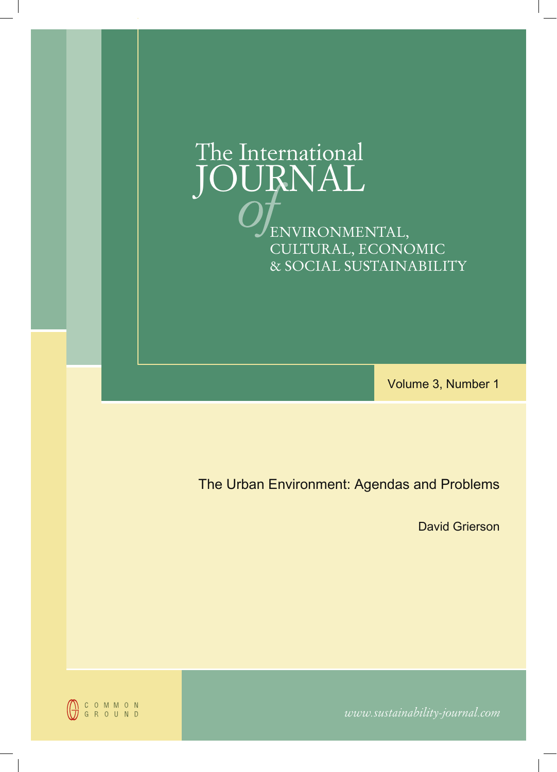

Volume 3, Number 1

The Urban Environment: Agendas and Problems

David Grierson



*www.sustainability-journal.com*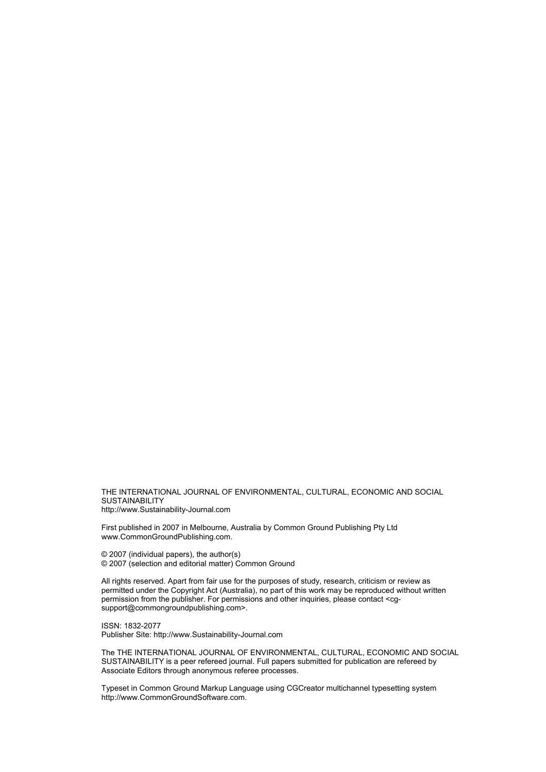THE INTERNATIONAL JOURNAL OF ENVIRONMENTAL, CULTURAL, ECONOMIC AND SOCIAL **SUSTAINABILITY** http://www.Sustainability-Journal.com

First published in 2007 in Melbourne, Australia by Common Ground Publishing Pty Ltd www.CommonGroundPublishing.com.

© 2007 (individual papers), the author(s) © 2007 (selection and editorial matter) Common Ground

All rights reserved. Apart from fair use for the purposes of study, research, criticism or review as permitted under the Copyright Act (Australia), no part of this work may be reproduced without written permission from the publisher. For permissions and other inquiries, please contact <cgsupport@commongroundpublishing.com>.

ISSN: 1832-2077 Publisher Site: http://www.Sustainability-Journal.com

The THE INTERNATIONAL JOURNAL OF ENVIRONMENTAL, CULTURAL, ECONOMIC AND SOCIAL SUSTAINABILITY is a peer refereed journal. Full papers submitted for publication are refereed by Associate Editors through anonymous referee processes.

Typeset in Common Ground Markup Language using CGCreator multichannel typesetting system http://www.CommonGroundSoftware.com.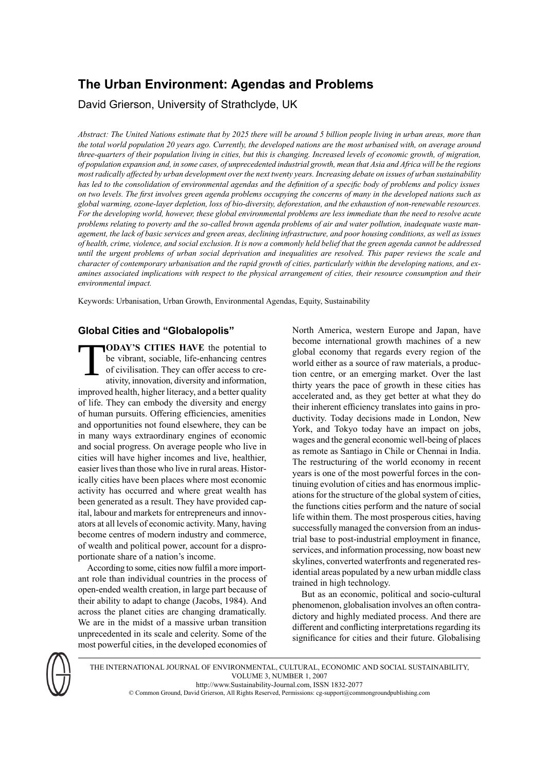# **The Urban Environment: Agendas and Problems**

David Grierson, University of Strathclyde, UK

Abstract: The United Nations estimate that by 2025 there will be around 5 billion people living in urban areas, more than the total world population 20 years ago. Currently, the developed nations are the most urbanised with, on average around three-quarters of their population living in cities, but this is changing. Increased levels of economic growth, of migration, of population expansion and, in some cases, of unprecedented industrial growth, mean that Asia and Africa will be the regions most radically affected by urban development over the next twenty years. Increasing debate on issues of urban sustainability has led to the consolidation of environmental agendas and the definition of a specific body of problems and policy issues on two levels. The first involves green agenda problems occupying the concerns of many in the developed nations such as *global warming, ozone-layer depletion, loss of bio-diversity, deforestation, and the exhaustion of non-renewable resources.* For the developing world, however, these global environmental problems are less immediate than the need to resolve acute problems relating to poverty and the so-called brown agenda problems of air and water pollution, inadequate waste management, the lack of basic services and green areas, declining infrastructure, and poor housing conditions, as well as issues of health, crime, violence, and social exclusion. It is now a commonly held belief that the green agenda cannot be addressed until the urgent problems of urban social deprivation and inequalities are resolved. This paper reviews the scale and character of contemporary urbanisation and the rapid growth of cities, particularly within the developing nations, and examines associated implications with respect to the physical arrangement of cities, their resource consumption and their *environmental impact.*

Keywords: Urbanisation, Urban Growth, Environmental Agendas, Equity, Sustainability

# **Global Cities and "Globalopolis"**

T **ODAY'S CITIES HAVE** the potential to be vibrant, sociable, life-enhancing centres of civilisation. They can offer access to creativity, innovation, diversity and information, improved health, higher literacy, and a better quality of life. They can embody the diversity and energy of human pursuits. Offering efficiencies, amenities and opportunities not found elsewhere, they can be in many ways extraordinary engines of economic and social progress. On average people who live in cities will have higher incomes and live, healthier, easier lives than those who live in rural areas. Historically cities have been places where most economic activity has occurred and where great wealth has been generated as a result. They have provided capital, labour and markets for entrepreneurs and innovators at all levels of economic activity. Many, having become centres of modern industry and commerce, of wealth and political power, account for a disproportionate share of a nation's income.

According to some, cities now fulfil a more important role than individual countries in the process of open-ended wealth creation, in large part because of their ability to adapt to change (Jacobs, 1984). And across the planet cities are changing dramatically. We are in the midst of a massive urban transition unprecedented in its scale and celerity. Some of the most powerful cities, in the developed economies of

North America, western Europe and Japan, have become international growth machines of a new global economy that regards every region of the world either as a source of raw materials, a production centre, or an emerging market. Over the last thirty years the pace of growth in these cities has accelerated and, as they get better at what they do their inherent efficiency translates into gains in productivity. Today decisions made in London, New York, and Tokyo today have an impact on jobs, wages and the general economic well-being of places as remote as Santiago in Chile or Chennai in India. The restructuring of the world economy in recent years is one of the most powerful forces in the continuing evolution of cities and has enormous implications for the structure of the global system of cities, the functions cities perform and the nature of social life within them. The most prosperous cities, having successfully managed the conversion from an industrial base to post-industrial employment in finance, services, and information processing, now boast new skylines, converted waterfronts and regenerated residential areas populated by a new urban middle class trained in high technology.

But as an economic, political and socio-cultural phenomenon, globalisation involves an often contradictory and highly mediated process. And there are different and conflicting interpretations regarding its significance for cities and their future. Globalising



THE INTERNATIONAL JOURNAL OF ENVIRONMENTAL, CULTURAL, ECONOMIC AND SOCIAL SUSTAINABILITY, VOLUME 3, NUMBER 1, 2007 http://www.Sustainability-Journal.com, ISSN 1832-2077 © Common Ground, David Grierson, All Rights Reserved, Permissions: cg-support@commongroundpublishing.com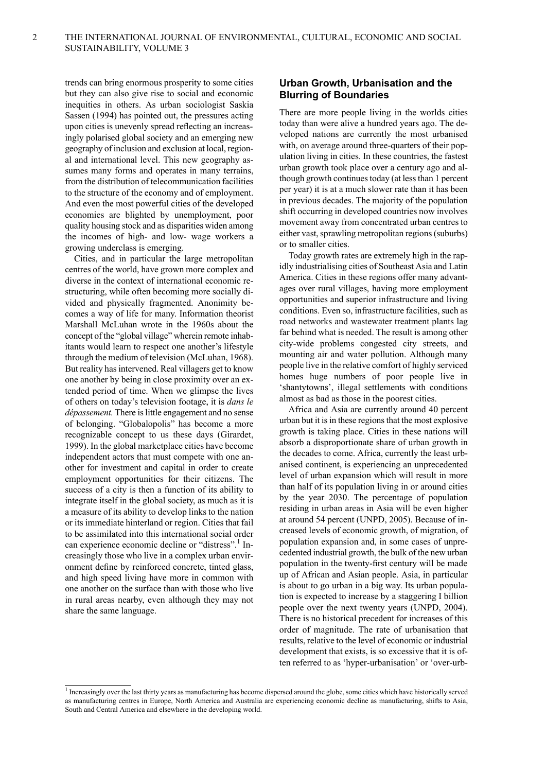trends can bring enormous prosperity to some cities but they can also give rise to social and economic inequities in others. As urban sociologist Saskia Sassen (1994) has pointed out, the pressures acting upon cities is unevenly spread reflecting an increasingly polarised global society and an emerging new geography of inclusion and exclusion at local, regional and international level. This new geography assumes many forms and operates in many terrains, from the distribution of telecommunication facilities to the structure of the economy and of employment. And even the most powerful cities of the developed economies are blighted by unemployment, poor quality housing stock and as disparities widen among the incomes of high- and low- wage workers a growing underclass is emerging.

Cities, and in particular the large metropolitan centres of the world, have grown more complex and diverse in the context of international economic restructuring, while often becoming more socially divided and physically fragmented. Anonimity becomes a way of life for many. Information theorist Marshall McLuhan wrote in the 1960s about the concept of the "global village" wherein remote inhabitants would learn to respect one another's lifestyle through the medium of television (McLuhan, 1968). But reality has intervened. Real villagers get to know one another by being in close proximity over an extended period of time. When we glimpse the lives of others on today's television footage, it is *dans le dépassement*. There is little engagement and no sense of belonging. "Globalopolis" has become a more recognizable concept to us these days (Girardet, 1999). In the global marketplace cities have become independent actors that must compete with one another for investment and capital in order to create employment opportunities for their citizens. The success of a city is then a function of its ability to integrate itself in the global society, as much as it is a measure of its ability to develop links to the nation or its immediate hinterland or region. Cities that fail to be assimilated into this international social order can experience economic decline or "distress".<sup>1</sup> Increasingly those who live in a complex urban environment define by reinforced concrete, tinted glass, and high speed living have more in common with one another on the surface than with those who live in rural areas nearby, even although they may not share the same language.

# **Urban Growth, Urbanisation and the Blurring of Boundaries**

There are more people living in the worlds cities today than were alive a hundred years ago. The developed nations are currently the most urbanised with, on average around three-quarters of their population living in cities. In these countries, the fastest urban growth took place over a century ago and although growth continues today (at less than 1 percent per year) it is at a much slower rate than it has been in previous decades. The majority of the population shift occurring in developed countries now involves movement away from concentrated urban centres to either vast, sprawling metropolitan regions (suburbs) or to smaller cities.

Today growth rates are extremely high in the rapidly industrialising cities of Southeast Asia and Latin America. Cities in these regions offer many advantages over rural villages, having more employment opportunities and superior infrastructure and living conditions. Even so, infrastructure facilities, such as road networks and wastewater treatment plants lag far behind what is needed. The result is among other city-wide problems congested city streets, and mounting air and water pollution. Although many people live in the relative comfort of highly serviced homes huge numbers of poor people live in 'shantytowns', illegal settlements with conditions almost as bad as those in the poorest cities.

Africa and Asia are currently around 40 percent urban but it is in these regions that the most explosive growth is taking place. Cities in these nations will absorb a disproportionate share of urban growth in the decades to come. Africa, currently the least urbanised continent, is experiencing an unprecedented level of urban expansion which will result in more than half of its population living in or around cities by the year 2030. The percentage of population residing in urban areas in Asia will be even higher at around 54 percent (UNPD, 2005). Because of increased levels of economic growth, of migration, of population expansion and, in some cases of unprecedented industrial growth, the bulk of the new urban population in the twenty-first century will be made up of African and Asian people. Asia, in particular is about to go urban in a big way. Its urban population is expected to increase by a staggering I billion people over the next twenty years (UNPD, 2004). There is no historical precedent for increases of this order of magnitude. The rate of urbanisation that results, relative to the level of economic or industrial development that exists, is so excessive that it is often referred to as 'hyper-urbanisation' or 'over-urb-

<sup>&</sup>lt;sup>1</sup> Increasingly over the last thirty years as manufacturing has become dispersed around the globe, some cities which have historically served as manufacturing centres in Europe, North America and Australia are experiencing economic decline as manufacturing, shifts to Asia, South and Central America and elsewhere in the developing world.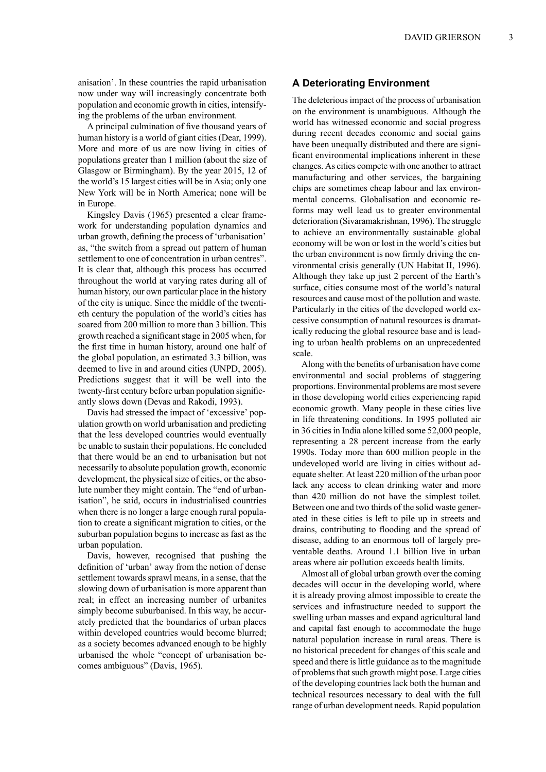anisation'. In these countries the rapid urbanisation now under way will increasingly concentrate both population and economic growth in cities, intensifying the problems of the urban environment.

A principal culmination of five thousand years of human history is a world of giant cities (Dear, 1999). More and more of us are now living in cities of populations greater than 1 million (about the size of Glasgow or Birmingham). By the year 2015, 12 of the world's 15 largest cities will be in Asia; only one New York will be in North America; none will be in Europe.

Kingsley Davis (1965) presented a clear framework for understanding population dynamics and urban growth, defining the process of 'urbanisation' as, "the switch from a spread out pattern of human settlement to one of concentration in urban centres". It is clear that, although this process has occurred throughout the world at varying rates during all of human history, our own particular place in the history of the city is unique. Since the middle of the twentieth century the population of the world's cities has soared from 200 million to more than 3 billion. This growth reached a significant stage in 2005 when, for the first time in human history, around one half of the global population, an estimated 3.3 billion, was deemed to live in and around cities (UNPD, 2005). Predictions suggest that it will be well into the twenty-first century before urban population significantly slows down (Devas and Rakodi, 1993).

Davis had stressed the impact of 'excessive' population growth on world urbanisation and predicting that the less developed countries would eventually be unable to sustain their populations. He concluded that there would be an end to urbanisation but not necessarily to absolute population growth, economic development, the physical size of cities, or the absolute number they might contain. The "end of urbanisation", he said, occurs in industrialised countries when there is no longer a large enough rural population to create a significant migration to cities, or the suburban population begins to increase as fast as the urban population.

Davis, however, recognised that pushing the definition of 'urban' away from the notion of dense settlement towards sprawl means, in a sense, that the slowing down of urbanisation is more apparent than real; in effect an increasing number of urbanites simply become suburbanised. In this way, he accurately predicted that the boundaries of urban places within developed countries would become blurred; as a society becomes advanced enough to be highly urbanised the whole "concept of urbanisation becomes ambiguous" (Davis, 1965).

### **A Deteriorating Environment**

The deleterious impact of the process of urbanisation on the environment is unambiguous. Although the world has witnessed economic and social progress during recent decades economic and social gains have been unequally distributed and there are significant environmental implications inherent in these changes. As cities compete with one another to attract manufacturing and other services, the bargaining chips are sometimes cheap labour and lax environmental concerns. Globalisation and economic reforms may well lead us to greater environmental deterioration (Sivaramakrishnan, 1996). The struggle to achieve an environmentally sustainable global economy will be won or lost in the world's cities but the urban environment is now firmly driving the environmental crisis generally (UN Habitat II, 1996). Although they take up just 2 percent of the Earth's surface, cities consume most of the world's natural resources and cause most of the pollution and waste. Particularly in the cities of the developed world excessive consumption of natural resources is dramatically reducing the global resource base and is leading to urban health problems on an unprecedented scale.

Along with the benefits of urbanisation have come environmental and social problems of staggering proportions. Environmental problems are most severe in those developing world cities experiencing rapid economic growth. Many people in these cities live in life threatening conditions. In 1995 polluted air in 36 cities in India alone killed some 52,000 people, representing a 28 percent increase from the early 1990s. Today more than 600 million people in the undeveloped world are living in cities without adequate shelter. At least 220 million of the urban poor lack any access to clean drinking water and more than 420 million do not have the simplest toilet. Between one and two thirds of the solid waste generated in these cities is left to pile up in streets and drains, contributing to flooding and the spread of disease, adding to an enormous toll of largely preventable deaths. Around 1.1 billion live in urban areas where air pollution exceeds health limits.

Almost all of global urban growth over the coming decades will occur in the developing world, where it is already proving almost impossible to create the services and infrastructure needed to support the swelling urban masses and expand agricultural land and capital fast enough to accommodate the huge natural population increase in rural areas. There is no historical precedent for changes of this scale and speed and there is little guidance as to the magnitude of problems that such growth might pose. Large cities of the developing countries lack both the human and technical resources necessary to deal with the full range of urban development needs. Rapid population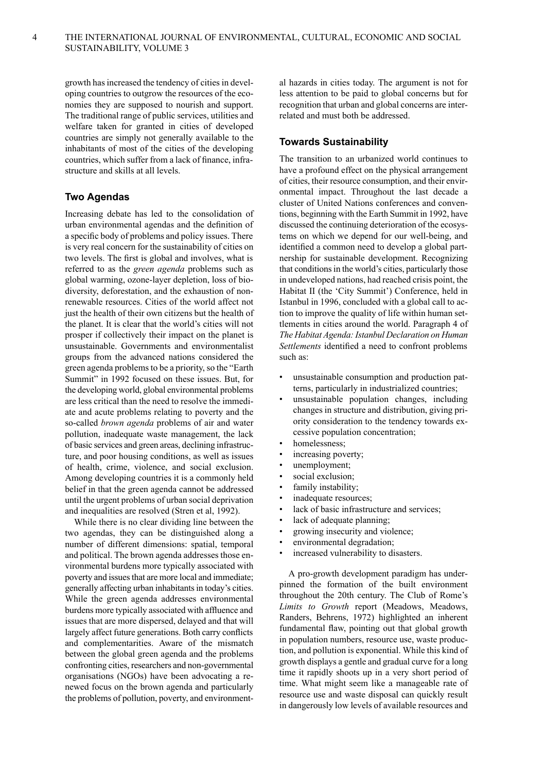growth has increased the tendency of cities in developing countries to outgrow the resources of the economies they are supposed to nourish and support. The traditional range of public services, utilities and welfare taken for granted in cities of developed countries are simply not generally available to the inhabitants of most of the cities of the developing countries, which suffer from a lack of finance, infrastructure and skills at all levels.

# **Two Agendas**

Increasing debate has led to the consolidation of urban environmental agendas and the definition of a specific body of problems and policy issues. There is very real concern for the sustainability of cities on two levels. The first is global and involves, what is referred to as the *green agenda* problems such as global warming, ozone-layer depletion, loss of biodiversity, deforestation, and the exhaustion of nonrenewable resources. Cities of the world affect not just the health of their own citizens but the health of the planet. It is clear that the world's cities will not prosper if collectively their impact on the planet is unsustainable. Governments and environmentalist groups from the advanced nations considered the green agenda problems to be a priority, so the "Earth" Summit" in 1992 focused on these issues. But, for the developing world, global environmental problems are less critical than the need to resolve the immediate and acute problems relating to poverty and the so-called *brown agenda* problems of air and water pollution, inadequate waste management, the lack of basic services and green areas, declining infrastructure, and poor housing conditions, as well as issues of health, crime, violence, and social exclusion. Among developing countries it is a commonly held belief in that the green agenda cannot be addressed until the urgent problems of urban social deprivation and inequalities are resolved (Stren et al, 1992).

While there is no clear dividing line between the two agendas, they can be distinguished along a number of different dimensions: spatial, temporal and political. The brown agenda addresses those environmental burdens more typically associated with poverty and issues that are more local and immediate; generally affecting urban inhabitants in today's cities. While the green agenda addresses environmental burdens more typically associated with affluence and issues that are more dispersed, delayed and that will largely affect future generations. Both carry conflicts and complementarities. Aware of the mismatch between the global green agenda and the problems confronting cities, researchers and non-governmental organisations (NGOs) have been advocating a renewed focus on the brown agenda and particularly the problems of pollution, poverty, and environmental hazards in cities today. The argument is not for less attention to be paid to global concerns but for recognition that urban and global concerns are interrelated and must both be addressed.

### **Towards Sustainability**

The transition to an urbanized world continues to have a profound effect on the physical arrangement of cities, their resource consumption, and their environmental impact. Throughout the last decade a cluster of United Nations conferences and conventions, beginning with the Earth Summit in 1992, have discussed the continuing deterioration of the ecosystems on which we depend for our well-being, and identified a common need to develop a global partnership for sustainable development. Recognizing that conditions in the world's cities, particularly those in undeveloped nations, had reached crisis point, the Habitat II (the 'City Summit') Conference, held in Istanbul in 1996, concluded with a global call to action to improve the quality of life within human settlements in cities around the world. Paragraph 4 of *The Habitat Agenda: Istanbul Declaration on Human Settlements* identified a need to confront problems such as:

- unsustainable consumption and production patterns, particularly in industrialized countries;
- unsustainable population changes, including changes in structure and distribution, giving priority consideration to the tendency towards excessive population concentration;
- homelessness;
- increasing poverty;
- unemployment;
- social exclusion;
- family instability;
- inadequate resources;
- lack of basic infrastructure and services;
- lack of adequate planning;
- growing insecurity and violence;
- environmental degradation;
- increased vulnerability to disasters.

A pro-growth development paradigm has underpinned the formation of the built environment throughout the 20th century. The Club of Rome's *Limits to Growth* report (Meadows, Meadows, Randers, Behrens, 1972) highlighted an inherent fundamental flaw, pointing out that global growth in population numbers, resource use, waste production, and pollution is exponential. While this kind of growth displays a gentle and gradual curve for a long time it rapidly shoots up in a very short period of time. What might seem like a manageable rate of resource use and waste disposal can quickly result in dangerously low levels of available resources and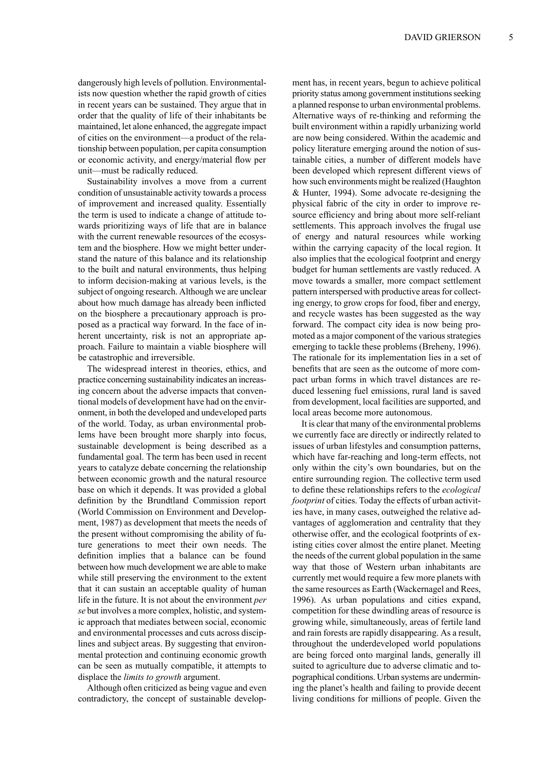dangerously high levels of pollution. Environmentalists now question whether the rapid growth of cities in recent years can be sustained. They argue that in order that the quality of life of their inhabitants be maintained, let alone enhanced, the aggregate impact of cities on the environment—a product of the relationship between population, per capita consumption or economic activity, and energy/material flow per unit—must be radically reduced.

Sustainability involves a move from a current condition of unsustainable activity towards a process of improvement and increased quality. Essentially the term is used to indicate a change of attitude towards prioritizing ways of life that are in balance with the current renewable resources of the ecosystem and the biosphere. How we might better understand the nature of this balance and its relationship to the built and natural environments, thus helping to inform decision-making at various levels, is the subject of ongoing research. Although we are unclear about how much damage has already been inflicted on the biosphere a precautionary approach is proposed as a practical way forward. In the face of inherent uncertainty, risk is not an appropriate approach. Failure to maintain a viable biosphere will be catastrophic and irreversible.

The widespread interest in theories, ethics, and practice concerning sustainability indicates an increasing concern about the adverse impacts that conventional models of development have had on the environment, in both the developed and undeveloped parts of the world. Today, as urban environmental problems have been brought more sharply into focus, sustainable development is being described as a fundamental goal. The term has been used in recent years to catalyze debate concerning the relationship between economic growth and the natural resource base on which it depends. It was provided a global definition by the Brundtland Commission report (World Commission on Environment and Development, 1987) as development that meets the needs of the present without compromising the ability of future generations to meet their own needs. The definition implies that a balance can be found between how much development we are able to make while still preserving the environment to the extent that it can sustain an acceptable quality of human life in the future. It is not about the environment *per se* but involves a more complex, holistic, and systemic approach that mediates between social, economic and environmental processes and cuts across disciplines and subject areas. By suggesting that environmental protection and continuing economic growth can be seen as mutually compatible, it attempts to displace the *limits to growth* argument.

Although often criticized as being vague and even contradictory, the concept of sustainable develop-

ment has, in recent years, begun to achieve political priority status among government institutions seeking a planned response to urban environmental problems. Alternative ways of re-thinking and reforming the built environment within a rapidly urbanizing world are now being considered. Within the academic and policy literature emerging around the notion of sustainable cities, a number of different models have been developed which represent different views of how such environments might be realized (Haughton & Hunter, 1994). Some advocate re-designing the physical fabric of the city in order to improve resource efficiency and bring about more self-reliant settlements. This approach involves the frugal use of energy and natural resources while working within the carrying capacity of the local region. It also implies that the ecological footprint and energy budget for human settlements are vastly reduced. A move towards a smaller, more compact settlement pattern interspersed with productive areas for collecting energy, to grow crops for food, fiber and energy, and recycle wastes has been suggested as the way forward. The compact city idea is now being promoted as a major component of the various strategies emerging to tackle these problems (Breheny, 1996). The rationale for its implementation lies in a set of benefits that are seen as the outcome of more compact urban forms in which travel distances are reduced lessening fuel emissions, rural land is saved from development, local facilities are supported, and local areas become more autonomous.

It is clear that many of the environmental problems we currently face are directly or indirectly related to issues of urban lifestyles and consumption patterns, which have far-reaching and long-term effects, not only within the city's own boundaries, but on the entire surrounding region. The collective term used to define these relationships refers to the *ecological footprint* of cities. Today the effects of urban activities have, in many cases, outweighed the relative advantages of agglomeration and centrality that they otherwise offer, and the ecological footprints of existing cities cover almost the entire planet. Meeting the needs of the current global population in the same way that those of Western urban inhabitants are currently met would require a few more planets with the same resources as Earth (Wackernagel and Rees, 1996). As urban populations and cities expand, competition for these dwindling areas of resource is growing while, simultaneously, areas of fertile land and rain forests are rapidly disappearing. As a result, throughout the underdeveloped world populations are being forced onto marginal lands, generally ill suited to agriculture due to adverse climatic and topographical conditions. Urban systems are undermining the planet's health and failing to provide decent living conditions for millions of people. Given the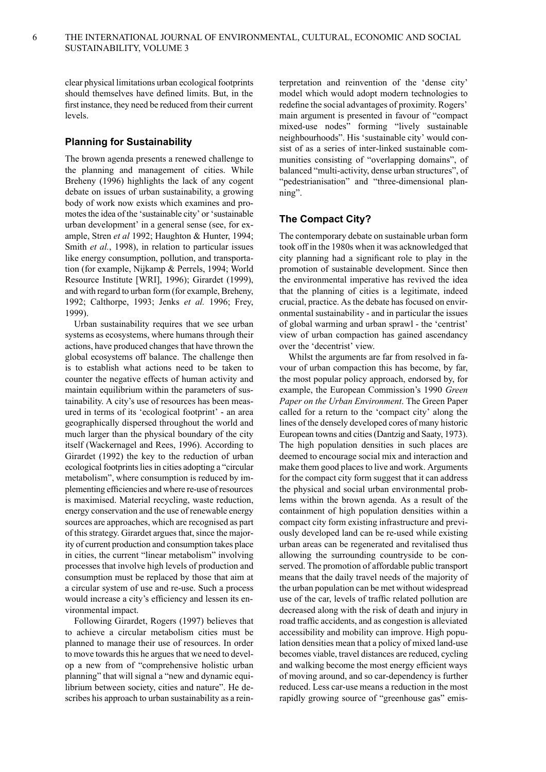clear physical limitations urban ecological footprints should themselves have defined limits. But, in the first instance, they need be reduced from their current levels.

### **Planning for Sustainability**

The brown agenda presents a renewed challenge to the planning and management of cities. While Breheny (1996) highlights the lack of any cogent debate on issues of urban sustainability, a growing body of work now exists which examines and promotes the idea of the 'sustainable city' or 'sustainable urban development' in a general sense (see, for example, Stren *et al* 1992; Haughton & Hunter, 1994; Smith *et al.*, 1998), in relation to particular issues like energy consumption, pollution, and transportation (for example, Nijkamp & Perrels, 1994; World Resource Institute [WRI], 1996); Girardet (1999), and with regard to urban form (for example, Breheny, 1992; Calthorpe, 1993; Jenks *et al.* 1996; Frey, 1999).

Urban sustainability requires that we see urban systems as ecosystems, where humans through their actions, have produced changes that have thrown the global ecosystems off balance. The challenge then is to establish what actions need to be taken to counter the negative effects of human activity and maintain equilibrium within the parameters of sustainability. A city's use of resources has been measured in terms of its 'ecological footprint' - an area geographically dispersed throughout the world and much larger than the physical boundary of the city itself (Wackernagel and Rees, 1996). According to Girardet (1992) the key to the reduction of urban ecological footprints lies in cities adopting a "circular metabolism", where consumption is reduced by implementing efficiencies and where re-use of resources is maximised. Material recycling, waste reduction, energy conservation and the use of renewable energy sources are approaches, which are recognised as part of this strategy. Girardet argues that, since the majority of current production and consumption takes place in cities, the current "linear metabolism" involving processes that involve high levels of production and consumption must be replaced by those that aim at a circular system of use and re-use. Such a process would increase a city's efficiency and lessen its environmental impact.

Following Girardet, Rogers (1997) believes that to achieve a circular metabolism cities must be planned to manage their use of resources. In order to move towards this he argues that we need to develop a new from of "comprehensive holistic urban planning" that will signal a "new and dynamic equilibrium between society, cities and nature". He describes his approach to urban sustainability as a reinterpretation and reinvention of the 'dense city' model which would adopt modern technologies to redefine the social advantages of proximity. Rogers' main argument is presented in favour of "compact mixed-use nodes" forming "lively sustainable neighbourhoods". His 'sustainable city' would consist of as a series of inter-linked sustainable communities consisting of "overlapping domains", of balanced "multi-activity, dense urban structures", of "pedestrianisation" and "three-dimensional planning".

### **The Compact City?**

The contemporary debate on sustainable urban form took off in the 1980s when it was acknowledged that city planning had a significant role to play in the promotion of sustainable development. Since then the environmental imperative has revived the idea that the planning of cities is a legitimate, indeed crucial, practice. As the debate has focused on environmental sustainability - and in particular the issues of global warming and urban sprawl - the 'centrist' view of urban compaction has gained ascendancy over the 'decentrist' view.

Whilst the arguments are far from resolved in favour of urban compaction this has become, by far, the most popular policy approach, endorsed by, for example, the European Commission's 1990 *Green Paper on the Urban Environment*. The Green Paper called for a return to the 'compact city' along the lines of the densely developed cores of many historic European towns and cities (Dantzig and Saaty, 1973). The high population densities in such places are deemed to encourage social mix and interaction and make them good places to live and work. Arguments for the compact city form suggest that it can address the physical and social urban environmental problems within the brown agenda. As a result of the containment of high population densities within a compact city form existing infrastructure and previously developed land can be re-used while existing urban areas can be regenerated and revitalised thus allowing the surrounding countryside to be conserved. The promotion of affordable public transport means that the daily travel needs of the majority of the urban population can be met without widespread use of the car, levels of traffic related pollution are decreased along with the risk of death and injury in road traffic accidents, and as congestion is alleviated accessibility and mobility can improve. High population densities mean that a policy of mixed land-use becomes viable, travel distances are reduced, cycling and walking become the most energy efficient ways of moving around, and so car-dependency is further reduced. Less car-use means a reduction in the most rapidly growing source of "greenhouse gas" emis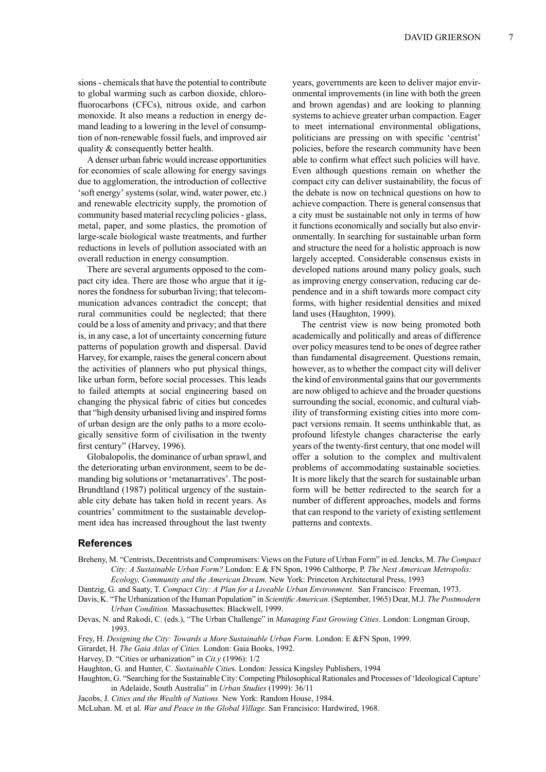sions - chemicals that have the potential to contribute to global warming such as carbon dioxide, chlorofluorocarbons (CFCs), nitrous oxide, and carbon monoxide. It also means a reduction in energy demand leading to a lowering in the level of consumption of non-renewable fossil fuels, and improved air quality & consequently better health.

A denser urban fabric would increase opportunities for economies of scale allowing for energy savings due to agglomeration, the introduction of collective 'soft energy'systems(solar, wind, water power, etc.) and renewable electricity supply, the promotion of community based material recycling policies- glass, metal, paper, and some plastics, the promotion of large-scale biological waste treatments, and further reductions in levels of pollution associated with an overall reduction in energy consumption.

There are several arguments opposed to the compact city idea. There are those who argue that it ignores the fondness for suburban living; that telecommunication advances contradict the concept; that rural communities could be neglected; that there could be a loss of amenity and privacy; and that there is, in any case, a lot of uncertainty concerning future patterns of population growth and dispersal. David Harvey, for example, raises the general concern about the activities of planners who put physical things, like urban form, before social processes. This leads to failed attempts at social engineering based on changing the physical fabric of cities but concedes that "high density urbanised living and inspired forms of urban design are the only paths to a more ecologically sensitive form of civilisation in the twenty first century" (Harvey, 1996).

Globalopolis, the dominance of urban sprawl, and the deteriorating urban environment, seem to be demanding big solutions or 'metanarratives'. The post-Brundtland (1987) political urgency of the sustainable city debate has taken hold in recent years. As countries' commitment to the sustainable development idea has increased throughout the last twenty years, governments are keen to deliver major environmental improvements (in line with both the green and brown agendas) and are looking to planning systems to achieve greater urban compaction. Eager to meet international environmental obligations, politicians are pressing on with specific 'centrist' policies, before the research community have been able to confirm what effect such policies will have. Even although questions remain on whether the compact city can deliver sustainability, the focus of the debate is now on technical questions on how to achieve compaction. There is general consensus that a city must be sustainable not only in terms of how it functions economically and socially but also environmentally. In searching for sustainable urban form and structure the need for a holistic approach is now largely accepted. Considerable consensus exists in developed nations around many policy goals, such as improving energy conservation, reducing car dependence and in a shift towards more compact city forms, with higher residential densities and mixed land uses (Haughton, 1999).

The centrist view is now being promoted both academically and politically and areas of difference over policy measures tend to be ones of degree rather than fundamental disagreement. Questions remain, however, as to whether the compact city will deliver the kind of environmental gains that our governments are now obliged to achieve and the broader questions surrounding the social, economic, and cultural viability of transforming existing cities into more compact versions remain. It seems unthinkable that, as profound lifestyle changes characterise the early years of the twenty-first century, that one model will offer a solution to the complex and multivalent problems of accommodating sustainable societies. It is more likely that the search for sustainable urban form will be better redirected to the search for a number of different approaches, models and forms that can respond to the variety of existing settlement patterns and contexts.

#### **References**

Breheny, M. "Centrists, Decentrists and Compromisers: Views on the Future of Urban Form" in ed.Jencks, M. *The Compact City: A Sustainable Urban Form?* London: E & FN Spon, 1996 Calthorpe, P. *The Next American Metropolis: Ecology, Community and the American Dream.* New York: Princeton Architectural Press, 1993

Dantzig, G. and Saaty, T. *Compact City: A Plan for a Liveable Urban Environment.* San Francisco*:* Freeman, 1973.

- Davis, K. "The Urbanization of the Human Population" in *Scientific American.* (September, 1965) Dear, M.J. *The Postmodern Urban Condition.* Massachusettes: Blackwell, 1999.
- Devas, N. and Rakodi, C. (eds.), "The Urban Challenge" in *Managing Fast Growing Cities*. London: Longman Group, 1993.
- Frey, H. *Designing the City: Towards a More Sustainable Urban Form.* London: E &FN Spon, 1999.
- Girardet, H. *The Gaia Atlas of Cities.* London: Gaia Books, 1992.
- Harvey, D. "Cities or urbanization" in *Cit.y* (1996): 1/2
- Haughton, G. and Hunter, C. *Sustainable Citie*s. London: Jessica Kingsley Publishers, 1994
- Haughton, G. "Searching for the Sustainable City: Competing Philosophical Rationales and Processes of 'Ideological Capture' in Adelaide, South Australia" in *Urban Studies* (1999): 36/11
- Jacobs, J. *Cities and the Wealth of Nations.* New York: Random House, 1984.
- McLuhan. M. et al. *War and Peace in the Global Village.* San Francisico: Hardwired, 1968.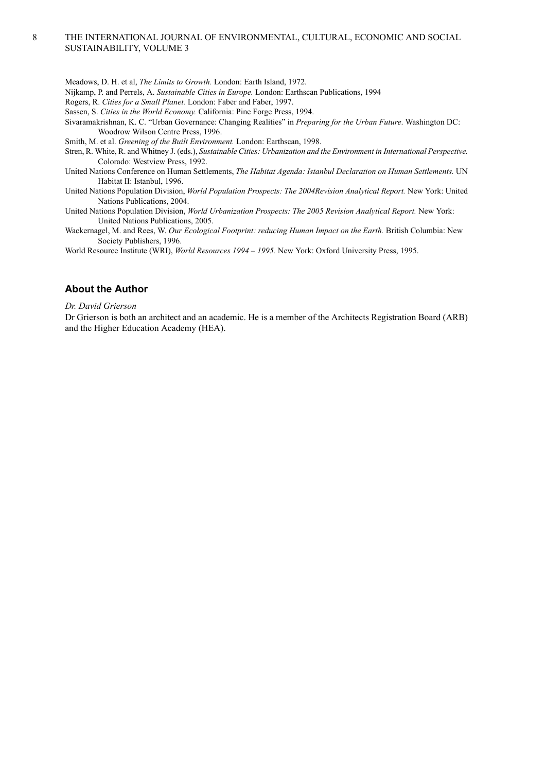### THE INTERNATIONAL JOURNAL OF ENVIRONMENTAL, CULTURAL, ECONOMIC AND SOCIAL SUSTAINABILITY, VOLUME 3

Meadows, D. H. et al, *The Limits to Growth.* London: Earth Island, 1972.

Nijkamp, P. and Perrels, A. *Sustainable Cities in Europe.* London: Earthscan Publications, 1994

Rogers, R. *Cities for a Small Planet.* London: Faber and Faber, 1997.

Sassen, S. *Cities in the World Economy.* California: Pine Forge Press, 1994.

Sivaramakrishnan, K. C. "Urban Governance: Changing Realities" in *Preparing for the Urban Future*. Washington DC: Woodrow Wilson Centre Press, 1996.

Smith, M. et al. *Greening of the Built Environment.* London: Earthscan, 1998.

Stren, R. White, R. and Whitney J. (eds.), *Sustainable Cities: Urbanization and the Environment in International Perspective.* Colorado: Westview Press, 1992.

United Nations Conference on Human Settlements, *The Habitat Agenda: Istanbul Declaration on Human Settlements.* UN Habitat II: Istanbul, 1996.

United Nations Population Division, *World Population Prospects: The 2004Revision Analytical Report.* New York: United Nations Publications, 2004.

United Nations Population Division, *World Urbanization Prospects: The 2005 Revision Analytical Report.* New York: United Nations Publications, 2005.

Wackernagel, M. and Rees, W. *Our Ecological Footprint: reducing Human Impact on the Earth.* British Columbia: New Society Publishers, 1996.

World Resource Institute (WRI), *World Resources 1994 – 1995.* New York: Oxford University Press, 1995.

## **About the Author**

*Dr. David Grierson*

8

Dr Grierson is both an architect and an academic. He is a member of the Architects Registration Board (ARB) and the Higher Education Academy (HEA).